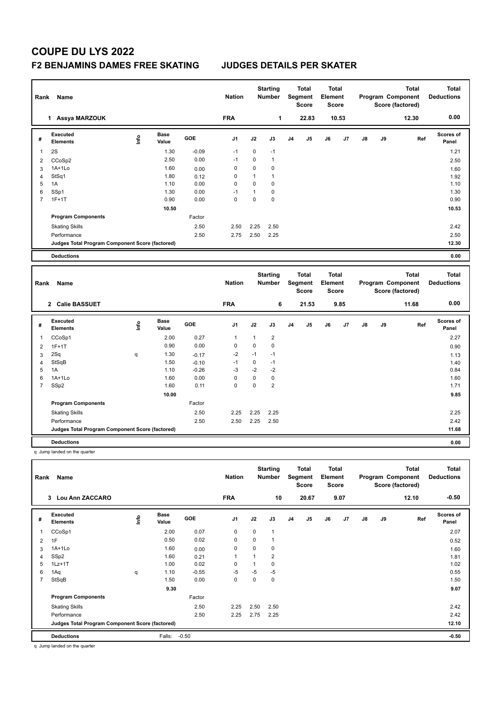## **COUPE DU LYS 2022**

## **F2 BENJAMINS DAMES FREE SKATING JUDGES DETAILS PER SKATER**

| Rank           | <b>Name</b>                                            |             |                      |         | <b>Nation</b> |              | <b>Starting</b><br><b>Number</b> |                | <b>Total</b><br>Segment<br>Score | <b>Total</b><br>Element<br><b>Score</b> |       |    |    | Program Component<br>Score (factored) | <b>Total</b> | <b>Total</b><br><b>Deductions</b> |
|----------------|--------------------------------------------------------|-------------|----------------------|---------|---------------|--------------|----------------------------------|----------------|----------------------------------|-----------------------------------------|-------|----|----|---------------------------------------|--------------|-----------------------------------|
|                | 1 Assya MARZOUK                                        |             |                      |         | <b>FRA</b>    |              | 1                                |                | 22.83                            |                                         | 10.53 |    |    |                                       | 12.30        | 0.00                              |
| #              | Executed<br><b>Elements</b>                            | lnfo        | <b>Base</b><br>Value | GOE     | J1            | J2           | J3                               | J <sub>4</sub> | J5                               | J6                                      | J7    | J8 | J9 |                                       | Ref          | Scores of<br>Panel                |
| $\mathbf{1}$   | 2S                                                     |             | 1.30                 | $-0.09$ | $-1$          | 0            | $-1$                             |                |                                  |                                         |       |    |    |                                       |              | 1.21                              |
| $\overline{2}$ | CCoSp2                                                 |             | 2.50                 | 0.00    | $-1$          | $\mathbf 0$  | $\mathbf{1}$                     |                |                                  |                                         |       |    |    |                                       |              | 2.50                              |
| 3              | 1A+1Lo                                                 |             | 1.60                 | 0.00    | $\mathbf 0$   | $\mathbf 0$  | 0                                |                |                                  |                                         |       |    |    |                                       |              | 1.60                              |
| $\overline{4}$ | StSq1                                                  |             | 1.80                 | 0.12    | $\mathbf 0$   | $\mathbf{1}$ | $\mathbf{1}$                     |                |                                  |                                         |       |    |    |                                       |              | 1.92                              |
| 5              | 1A                                                     |             | 1.10                 | 0.00    | $\Omega$      | $\mathbf 0$  | $\mathbf 0$                      |                |                                  |                                         |       |    |    |                                       |              | 1.10                              |
| 6              | SSp1                                                   |             | 1.30                 | 0.00    | $-1$          | $\mathbf{1}$ | $\pmb{0}$                        |                |                                  |                                         |       |    |    |                                       |              | 1.30                              |
| $\overline{7}$ | $1F+1T$                                                |             | 0.90                 | 0.00    | $\mathbf 0$   | $\mathbf 0$  | $\mathbf 0$                      |                |                                  |                                         |       |    |    |                                       |              | 0.90                              |
|                |                                                        |             | 10.50                |         |               |              |                                  |                |                                  |                                         |       |    |    |                                       |              | 10.53                             |
|                | <b>Program Components</b>                              |             |                      | Factor  |               |              |                                  |                |                                  |                                         |       |    |    |                                       |              |                                   |
|                | <b>Skating Skills</b>                                  |             |                      | 2.50    | 2.50          | 2.25         | 2.50                             |                |                                  |                                         |       |    |    |                                       |              | 2.42                              |
|                | Performance                                            |             |                      | 2.50    | 2.75          | 2.50         | 2.25                             |                |                                  |                                         |       |    |    |                                       |              | 2.50                              |
|                | Judges Total Program Component Score (factored)        |             |                      |         |               |              |                                  |                |                                  |                                         |       |    |    |                                       |              | 12.30                             |
|                | <b>Deductions</b>                                      |             |                      |         |               |              |                                  |                |                                  |                                         |       |    |    |                                       |              | 0.00                              |
|                |                                                        |             |                      |         |               |              |                                  |                |                                  |                                         |       |    |    |                                       |              |                                   |
|                |                                                        |             |                      |         |               |              |                                  |                |                                  |                                         |       |    |    |                                       |              |                                   |
| Rank           | Name                                                   |             |                      |         | <b>Nation</b> |              | <b>Starting</b><br><b>Number</b> |                | Total<br>Segment<br><b>Score</b> | <b>Total</b><br>Element<br><b>Score</b> |       |    |    | Program Component<br>Score (factored) | <b>Total</b> | <b>Total</b><br><b>Deductions</b> |
|                | 2 Calie BASSUET                                        |             |                      |         | <b>FRA</b>    |              | 6                                |                | 21.53                            |                                         | 9.85  |    |    |                                       | 11.68        | 0.00                              |
| #              | Executed<br>Elements                                   | <u>Info</u> | <b>Base</b><br>Value | GOE     | J1            | J2           | J3                               | J <sub>4</sub> | J5                               | J6                                      | J7    | J8 | J9 |                                       | Ref          | <b>Scores of</b><br>Panel         |
| $\overline{1}$ |                                                        |             | 2.00                 | 0.27    | $\mathbf{1}$  | 1            | $\overline{2}$                   |                |                                  |                                         |       |    |    |                                       |              | 2.27                              |
| $\overline{2}$ | CCoSp1<br>$1F+1T$                                      |             | 0.90                 | 0.00    | $\mathbf 0$   | $\mathbf 0$  | $\pmb{0}$                        |                |                                  |                                         |       |    |    |                                       |              | 0.90                              |
| 3              | 2Sq                                                    | q           | 1.30                 | $-0.17$ | $-2$          | $-1$         | $-1$                             |                |                                  |                                         |       |    |    |                                       |              | 1.13                              |
| $\overline{4}$ | StSqB                                                  |             | 1.50                 | $-0.10$ | $-1$          | $\mathbf 0$  | $-1$                             |                |                                  |                                         |       |    |    |                                       |              | 1.40                              |
| 5              | 1A                                                     |             | 1.10                 | $-0.26$ | $-3$          | $-2$         | $-2$                             |                |                                  |                                         |       |    |    |                                       |              | 0.84                              |
| 6              | $1A+1Lo$                                               |             | 1.60                 | 0.00    | $\mathbf 0$   | $\mathbf 0$  | $\pmb{0}$                        |                |                                  |                                         |       |    |    |                                       |              | 1.60                              |
| $\overline{7}$ | SSp2                                                   |             | 1.60                 | 0.11    | $\mathbf 0$   | $\mathbf 0$  | $\overline{2}$                   |                |                                  |                                         |       |    |    |                                       |              | 1.71                              |
|                |                                                        |             | 10.00                |         |               |              |                                  |                |                                  |                                         |       |    |    |                                       |              | 9.85                              |
|                | <b>Program Components</b>                              |             |                      | Factor  |               |              |                                  |                |                                  |                                         |       |    |    |                                       |              |                                   |
|                | <b>Skating Skills</b>                                  |             |                      | 2.50    | 2.25          | 2.25         | 2.25                             |                |                                  |                                         |       |    |    |                                       |              | 2.25                              |
|                | Performance                                            |             |                      | 2.50    | 2.50          | 2.25         | 2.50                             |                |                                  |                                         |       |    |    |                                       |              | 2.42                              |
|                | <b>Judges Total Program Component Score (factored)</b> |             |                      |         |               |              |                                  |                |                                  |                                         |       |    |    |                                       |              | 11.68                             |

q Jump landed on the quarter

|   | Rank<br>Name                                    |             |                      |         | <b>Nation</b>  |                | <b>Starting</b><br><b>Number</b> | <b>Total</b><br>Segment<br>Score |                | <b>Total</b><br>Element<br><b>Score</b> |                | <b>Total</b><br>Program Component<br>Score (factored) |    |       | <b>Total</b><br><b>Deductions</b> |
|---|-------------------------------------------------|-------------|----------------------|---------|----------------|----------------|----------------------------------|----------------------------------|----------------|-----------------------------------------|----------------|-------------------------------------------------------|----|-------|-----------------------------------|
|   | 3 Lou Ann ZACCARO                               |             |                      |         | <b>FRA</b>     |                | 10                               |                                  | 20.67          |                                         | 9.07           |                                                       |    | 12.10 | $-0.50$                           |
| # | Executed<br><b>Elements</b>                     | <b>Info</b> | <b>Base</b><br>Value | GOE     | J <sub>1</sub> | J2             | J3                               | J <sub>4</sub>                   | J <sub>5</sub> | J6                                      | J <sub>7</sub> | $\mathsf{J}8$                                         | J9 | Ref   | Scores of<br>Panel                |
| 1 | CCoSp1                                          |             | 2.00                 | 0.07    | 0              | $\Omega$       | $\mathbf{1}$                     |                                  |                |                                         |                |                                                       |    |       | 2.07                              |
| 2 | 1F                                              |             | 0.50                 | 0.02    | $\mathbf 0$    | 0              | 1                                |                                  |                |                                         |                |                                                       |    |       | 0.52                              |
| 3 | $1A+1L0$                                        |             | 1.60                 | 0.00    | 0              | 0              | 0                                |                                  |                |                                         |                |                                                       |    |       | 1.60                              |
| 4 | SSp2                                            |             | 1.60                 | 0.21    | 1              | $\overline{1}$ | $\overline{2}$                   |                                  |                |                                         |                |                                                       |    |       | 1.81                              |
| 5 | $1Lz+1T$                                        |             | 1.00                 | 0.02    | 0              |                | 0                                |                                  |                |                                         |                |                                                       |    |       | 1.02                              |
| 6 | 1Aq                                             | q           | 1.10                 | $-0.55$ | $-5$           | $-5$           | $-5$                             |                                  |                |                                         |                |                                                       |    |       | 0.55                              |
| 7 | StSqB                                           |             | 1.50                 | 0.00    | 0              | 0              | $\mathbf 0$                      |                                  |                |                                         |                |                                                       |    |       | 1.50                              |
|   |                                                 |             | 9.30                 |         |                |                |                                  |                                  |                |                                         |                |                                                       |    |       | 9.07                              |
|   | <b>Program Components</b>                       |             |                      | Factor  |                |                |                                  |                                  |                |                                         |                |                                                       |    |       |                                   |
|   | <b>Skating Skills</b>                           |             |                      | 2.50    | 2.25           | 2.50           | 2.50                             |                                  |                |                                         |                |                                                       |    |       | 2.42                              |
|   | Performance                                     |             |                      | 2.50    | 2.25           | 2.75           | 2.25                             |                                  |                |                                         |                |                                                       |    |       | 2.42                              |
|   | Judges Total Program Component Score (factored) |             |                      |         |                |                |                                  |                                  |                |                                         |                |                                                       |    |       | 12.10                             |
|   | <b>Deductions</b>                               |             | Falls:               | $-0.50$ |                |                |                                  |                                  |                |                                         |                |                                                       |    |       | $-0.50$                           |

q Jump landed on the quarter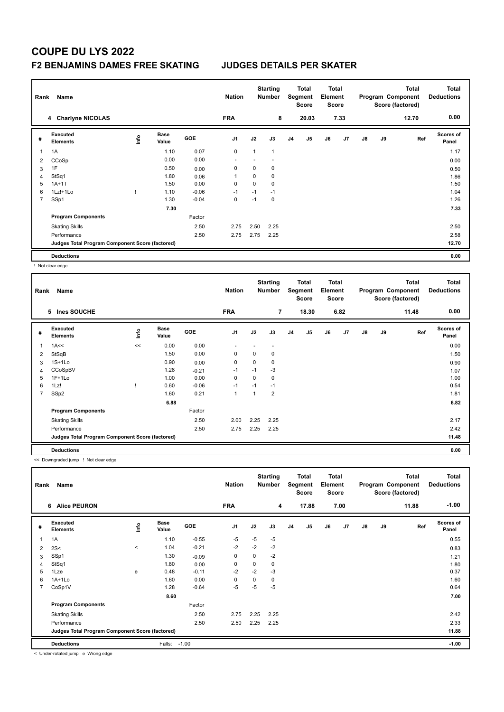# **COUPE DU LYS 2022**

### **F2 BENJAMINS DAMES FREE SKATING JUDGES DETAILS PER SKATER**

|   | Rank<br>Name                                    |      |                      |         |                |             | <b>Starting</b><br><b>Number</b> |                | <b>Total</b><br>Total<br>Element<br>Segment<br><b>Score</b><br><b>Score</b> |    |      |               |    | <b>Total</b><br>Program Component<br>Score (factored) | <b>Total</b><br><b>Deductions</b> |
|---|-------------------------------------------------|------|----------------------|---------|----------------|-------------|----------------------------------|----------------|-----------------------------------------------------------------------------|----|------|---------------|----|-------------------------------------------------------|-----------------------------------|
|   | 4 Charlyne NICOLAS                              |      |                      |         | <b>FRA</b>     |             | 8                                |                | 20.03                                                                       |    | 7.33 |               |    | 12.70                                                 | 0.00                              |
| # | Executed<br><b>Elements</b>                     | ١nf٥ | <b>Base</b><br>Value | GOE     | J <sub>1</sub> | J2          | J3                               | J <sub>4</sub> | J5                                                                          | J6 | J7   | $\mathsf{J}8$ | J9 | Ref                                                   | <b>Scores of</b><br>Panel         |
|   | 1A                                              |      | 1.10                 | 0.07    | 0              | 1           | $\overline{1}$                   |                |                                                                             |    |      |               |    |                                                       | 1.17                              |
| 2 | CCoSp                                           |      | 0.00                 | 0.00    |                |             |                                  |                |                                                                             |    |      |               |    |                                                       | 0.00                              |
| 3 | 1F                                              |      | 0.50                 | 0.00    | 0              | 0           | 0                                |                |                                                                             |    |      |               |    |                                                       | 0.50                              |
| 4 | StSq1                                           |      | 1.80                 | 0.06    |                | 0           | 0                                |                |                                                                             |    |      |               |    |                                                       | 1.86                              |
| 5 | $1A+1T$                                         |      | 1.50                 | 0.00    | 0              | $\mathbf 0$ | $\mathbf 0$                      |                |                                                                             |    |      |               |    |                                                       | 1.50                              |
| 6 | $1Lz! + 1Lo$                                    |      | 1.10                 | $-0.06$ | $-1$           | $-1$        | $-1$                             |                |                                                                             |    |      |               |    |                                                       | 1.04                              |
| 7 | SSp1                                            |      | 1.30                 | $-0.04$ | 0              | $-1$        | $\mathbf 0$                      |                |                                                                             |    |      |               |    |                                                       | 1.26                              |
|   |                                                 |      | 7.30                 |         |                |             |                                  |                |                                                                             |    |      |               |    |                                                       | 7.33                              |
|   | <b>Program Components</b>                       |      |                      | Factor  |                |             |                                  |                |                                                                             |    |      |               |    |                                                       |                                   |
|   | <b>Skating Skills</b>                           |      |                      | 2.50    | 2.75           | 2.50        | 2.25                             |                |                                                                             |    |      |               |    |                                                       | 2.50                              |
|   | Performance                                     |      |                      | 2.50    | 2.75           | 2.75        | 2.25                             |                |                                                                             |    |      |               |    |                                                       | 2.58                              |
|   | Judges Total Program Component Score (factored) |      |                      |         |                |             |                                  |                |                                                                             |    |      |               |    |                                                       | 12.70                             |
|   | <b>Deductions</b>                               |      |                      |         |                |             |                                  |                |                                                                             |    |      |               |    |                                                       | 0.00                              |

! Not clear edge

| Name<br>Rank   |                                                 |       |                      |         |                          | <b>Starting</b><br><b>Nation</b><br><b>Number</b> |                          |                | Total<br>Segment<br><b>Score</b> | <b>Total</b><br>Element<br><b>Score</b> |      | <b>Total</b><br>Program Component<br>Score (factored) |    |       | <b>Total</b><br><b>Deductions</b> |
|----------------|-------------------------------------------------|-------|----------------------|---------|--------------------------|---------------------------------------------------|--------------------------|----------------|----------------------------------|-----------------------------------------|------|-------------------------------------------------------|----|-------|-----------------------------------|
|                | 5 Ines SOUCHE                                   |       |                      |         | <b>FRA</b>               |                                                   | $\overline{7}$           |                | 18.30                            |                                         | 6.82 |                                                       |    | 11.48 | 0.00                              |
| #              | Executed<br><b>Elements</b>                     | ١nfo  | <b>Base</b><br>Value | GOE     | J <sub>1</sub>           | J2                                                | J3                       | J <sub>4</sub> | J5                               | J6                                      | J7   | $\mathsf{J}8$                                         | J9 | Ref   | <b>Scores of</b><br>Panel         |
| 1              | 1A<<                                            | $\,<$ | 0.00                 | 0.00    | $\overline{\phantom{a}}$ | $\overline{\phantom{a}}$                          | $\overline{\phantom{a}}$ |                |                                  |                                         |      |                                                       |    |       | 0.00                              |
| 2              | StSqB                                           |       | 1.50                 | 0.00    | $\mathbf 0$              | $\Omega$                                          | 0                        |                |                                  |                                         |      |                                                       |    |       | 1.50                              |
| 3              | $1S+1Lo$                                        |       | 0.90                 | 0.00    | $\mathbf 0$              | 0                                                 | 0                        |                |                                  |                                         |      |                                                       |    |       | 0.90                              |
| 4              | CCoSpBV                                         |       | 1.28                 | $-0.21$ | $-1$                     | $-1$                                              | $-3$                     |                |                                  |                                         |      |                                                       |    |       | 1.07                              |
| 5              | $1F+1Lo$                                        |       | 1.00                 | 0.00    | 0                        | $\Omega$                                          | 0                        |                |                                  |                                         |      |                                                       |    |       | 1.00                              |
| 6              | 1Lz!                                            |       | 0.60                 | $-0.06$ | $-1$                     | $-1$                                              | $-1$                     |                |                                  |                                         |      |                                                       |    |       | 0.54                              |
| $\overline{7}$ | SSp2                                            |       | 1.60                 | 0.21    | $\mathbf{1}$             |                                                   | $\overline{2}$           |                |                                  |                                         |      |                                                       |    |       | 1.81                              |
|                |                                                 |       | 6.88                 |         |                          |                                                   |                          |                |                                  |                                         |      |                                                       |    |       | 6.82                              |
|                | <b>Program Components</b>                       |       |                      | Factor  |                          |                                                   |                          |                |                                  |                                         |      |                                                       |    |       |                                   |
|                | <b>Skating Skills</b>                           |       |                      | 2.50    | 2.00                     | 2.25                                              | 2.25                     |                |                                  |                                         |      |                                                       |    |       | 2.17                              |
|                | Performance                                     |       |                      | 2.50    | 2.75                     | 2.25                                              | 2.25                     |                |                                  |                                         |      |                                                       |    |       | 2.42                              |
|                | Judges Total Program Component Score (factored) |       |                      |         |                          |                                                   |                          |                |                                  |                                         |      |                                                       |    |       | 11.48                             |
|                | <b>Deductions</b>                               |       |                      |         |                          |                                                   |                          |                |                                  |                                         |      |                                                       |    |       | 0.00                              |

<< Downgraded jump ! Not clear edge

| Rank<br>Name   |                                                 |         |                      |         | <b>Nation</b>  |             | <b>Starting</b><br><b>Number</b> |    | Total<br>Segment<br><b>Score</b> | <b>Total</b><br>Element<br><b>Score</b> |      | <b>Total</b><br>Program Component<br>Score (factored) |    | Total<br><b>Deductions</b> |                           |
|----------------|-------------------------------------------------|---------|----------------------|---------|----------------|-------------|----------------------------------|----|----------------------------------|-----------------------------------------|------|-------------------------------------------------------|----|----------------------------|---------------------------|
|                | <b>Alice PEURON</b><br>6                        |         |                      |         | <b>FRA</b>     |             | 4                                |    | 17.88                            |                                         | 7.00 |                                                       |    | 11.88                      | $-1.00$                   |
| #              | Executed<br><b>Elements</b>                     | lnfo    | <b>Base</b><br>Value | GOE     | J <sub>1</sub> | J2          | J3                               | J4 | J <sub>5</sub>                   | J6                                      | J7   | $\mathsf{J}8$                                         | J9 | Ref                        | <b>Scores of</b><br>Panel |
| $\overline{1}$ | 1A                                              |         | 1.10                 | $-0.55$ | $-5$           | $-5$        | $-5$                             |    |                                  |                                         |      |                                                       |    |                            | 0.55                      |
| $\overline{2}$ | 2S<                                             | $\prec$ | 1.04                 | $-0.21$ | $-2$           | $-2$        | $-2$                             |    |                                  |                                         |      |                                                       |    |                            | 0.83                      |
| 3              | SSp1                                            |         | 1.30                 | $-0.09$ | 0              | 0           | $-2$                             |    |                                  |                                         |      |                                                       |    |                            | 1.21                      |
| $\overline{4}$ | StSq1                                           |         | 1.80                 | 0.00    | 0              | $\mathbf 0$ | 0                                |    |                                  |                                         |      |                                                       |    |                            | 1.80                      |
| 5              | 1Lze                                            | e       | 0.48                 | $-0.11$ | $-2$           | $-2$        | $-3$                             |    |                                  |                                         |      |                                                       |    |                            | 0.37                      |
| 6              | $1A+1Lo$                                        |         | 1.60                 | 0.00    | 0              | 0           | 0                                |    |                                  |                                         |      |                                                       |    |                            | 1.60                      |
| $\overline{7}$ | CoSp1V                                          |         | 1.28                 | $-0.64$ | $-5$           | $-5$        | $-5$                             |    |                                  |                                         |      |                                                       |    |                            | 0.64                      |
|                |                                                 |         | 8.60                 |         |                |             |                                  |    |                                  |                                         |      |                                                       |    |                            | 7.00                      |
|                | <b>Program Components</b>                       |         |                      | Factor  |                |             |                                  |    |                                  |                                         |      |                                                       |    |                            |                           |
|                | <b>Skating Skills</b>                           |         |                      | 2.50    | 2.75           | 2.25        | 2.25                             |    |                                  |                                         |      |                                                       |    |                            | 2.42                      |
|                | Performance                                     |         |                      | 2.50    | 2.50           | 2.25        | 2.25                             |    |                                  |                                         |      |                                                       |    |                            | 2.33                      |
|                | Judges Total Program Component Score (factored) |         |                      |         |                |             |                                  |    |                                  |                                         |      |                                                       |    |                            | 11.88                     |
|                | <b>Deductions</b>                               |         | Falls:               | $-1.00$ |                |             |                                  |    |                                  |                                         |      |                                                       |    |                            | $-1.00$                   |

< Under-rotated jump e Wrong edge